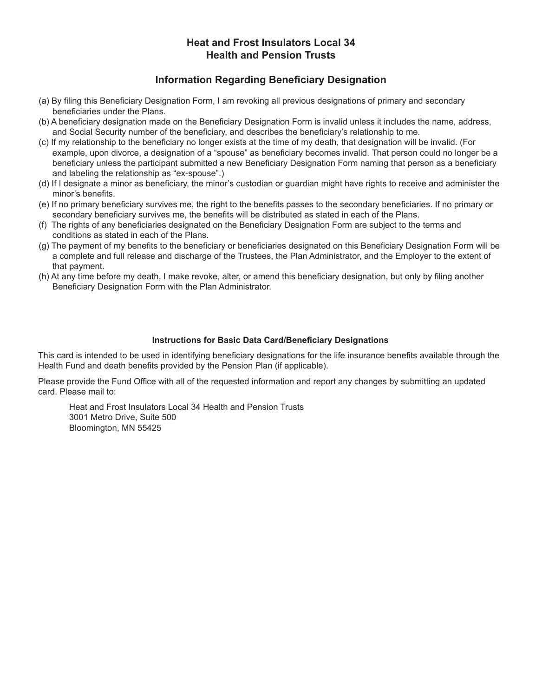# **Heat and Frost Insulators Local 34 Health and Pension Trusts**

# **Information Regarding Beneficiary Designation**

- (a) By filing this Beneficiary Designation Form, I am revoking all previous designations of primary and secondary beneficiaries under the Plans.
- (b) A beneficiary designation made on the Beneficiary Designation Form is invalid unless it includes the name, address, and Social Security number of the beneficiary, and describes the beneficiary's relationship to me.
- (c) If my relationship to the beneficiary no longer exists at the time of my death, that designation will be invalid. (For example, upon divorce, a designation of a "spouse" as beneficiary becomes invalid. That person could no longer be a beneficiary unless the participant submitted a new Beneficiary Designation Form naming that person as a beneficiary and labeling the relationship as "ex-spouse".)
- (d) If I designate a minor as beneficiary, the minor's custodian or guardian might have rights to receive and administer the minor's benefits.
- (e) If no primary beneficiary survives me, the right to the benefits passes to the secondary beneficiaries. If no primary or secondary beneficiary survives me, the benefits will be distributed as stated in each of the Plans.
- (f) The rights of any beneficiaries designated on the Beneficiary Designation Form are subject to the terms and conditions as stated in each of the Plans.
- (g) The payment of my benefits to the beneficiary or beneficiaries designated on this Beneficiary Designation Form will be a complete and full release and discharge of the Trustees, the Plan Administrator, and the Employer to the extent of that payment.
- (h) At any time before my death, I make revoke, alter, or amend this beneficiary designation, but only by filing another Beneficiary Designation Form with the Plan Administrator.

### **Instructions for Basic Data Card/Beneficiary Designations**

This card is intended to be used in identifying beneficiary designations for the life insurance benefits available through the Health Fund and death benefits provided by the Pension Plan (if applicable).

Please provide the Fund Office with all of the requested information and report any changes by submitting an updated card. Please mail to:

Heat and Frost Insulators Local 34 Health and Pension Trusts 3001 Metro Drive, Suite 500 Bloomington, MN 55425